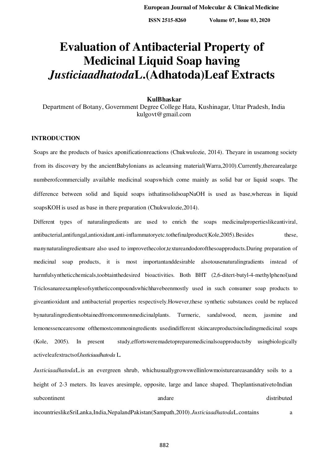# **Evaluation of Antibacterial Property of Medicinal Liquid Soap having**  *Justiciaadhatoda***L.(Adhatoda)Leaf Extracts**

#### **KulBhaskar**

Department of Botany, Government Degree College Hata, Kushinagar, Uttar Pradesh, India kulgovt@gmail.com

## **INTRODUCTION**

Soaps are the products of basics aponificationreactions (Chukwulozie, 2014). Theyare in useamong society from its discovery by the ancientBabylonians as acleansing material(Warra,2010).Currently,therearealarge numberofcommercially available medicinal soapswhich come mainly as solid bar or liquid soaps. The difference between solid and liquid soaps isthatinsolidsoapNaOH is used as base,whereas in liquid soapsKOH is used as base in there preparation (Chukwulozie,2014).

Different types of naturalingredients are used to enrich the soaps medicinalpropertieslikeantiviral, antibacterial,antifungal,antioxidant,anti-inflammatoryetc.tothefinalproduct(Kole,2005).Besides these, manynaturalingredientsare also used to improvethecolor,textureandodorofthesoapproducts.During preparation of medicinal soap products, it is most importantanddesirable alsotousenaturalingradients instead of harmfulsyntheticchemicals,toobtainthedesired bioactivities. Both BHT (2,6-ditert-butyl-4-methylphenol)and Triclosanareexamplesofsyntheticcompoundswhichhavebeenmostly used in such consumer soap products to giveantioxidant and antibacterial properties respectively.However,these synthetic substances could be replaced bynaturalingredientsobtainedfromcommonmedicinalplants. Turmeric, sandalwood, neem, jasmine and lemonessencearesome ofthemostcommoningredients usedindifferent skincareproductsincludingmedicinal soaps (Kole, 2005). In present study,effortsweremadetopreparemedicinalsoapproductsby usingbiologically activeleafextractsof*Justiciaadhatoda* L.

*Justiciaadhatoda*L.is an evergreen shrub, whichusuallygrowswellinlowmoistureareasanddry soils to a height of 2-3 meters. Its leaves are simple, opposite, large and lance shaped. The plantisnative to Indian subcontinent and and are distributed and are distributed and are distributed and  $\alpha$ incountrieslikeSriLanka,India,NepalandPakistan(Sampath,2010).*Justiciaadhatoda*L.contains a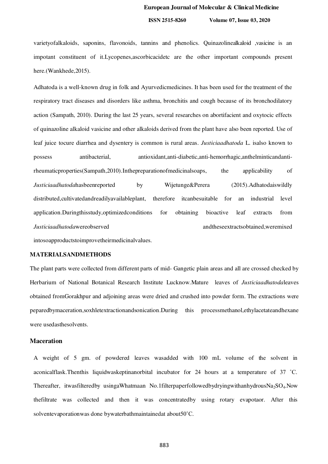**ISSN 2515-8260 Volume 07, Issue 03, 2020**

varietyofalkaloids, saponins, flavonoids, tannins and phenolics. Quinazolinealkaloid ,vasicine is an impotant constituent of it.Lycopenes,ascorbicacidetc are the other important compounds present here.(Wankhede,2015).

Adhatoda is a well-known drug in folk and Ayurvedicmedicines. It has been used for the treatment of the respiratory tract diseases and disorders like asthma, bronchitis and cough because of its bronchodilatory action (Sampath, 2010). During the last 25 years, several researches on abortifacient and oxytocic effects of quinazoline alkaloid vasicine and other alkaloids derived from the plant have also been reported. Use of leaf juice tocure diarrhea and dysentery is common is rural areas. *Justiciaadhatoda* L. isalso known to possess antibacterial, antioxidant,anti-diabetic,anti-hemorrhagic,anthelminticandantirheumaticproperties(Sampath,2010).Inthepreparationofmedicinalsoaps, the applicability of *Justiciaadhatoda*hasbeenreported by Wijetunge&Perera (2015).Adhatodaiswildly distributed,cultivatedandreadilyavailableplant, therefore itcanbesuitable for an industrial level application.Duringthisstudy,optimizedconditions for obtaining bioactive leaf extracts from *Justiciaadhatoda*wereobserved andtheseextractsobtained,weremixed intosoapproductstoimprovetheirmedicinalvalues.

**MATERIALSANDMETHODS**

The plant parts were collected from different parts of mid- Gangetic plain areas and all are crossed checked by Herbarium of National Botanical Research Institute Lucknow.Mature leaves of *Justiciaadhatoda*leaves obtained fromGorakhpur and adjoining areas were dried and crushed into powder form. The extractions were peparedbymaceration,soxhletextractionandsonication.During this processmethanol,ethylacetateandhexane were usedasthesolvents.

## **Maceration**

A weight of 5 gm. of powdered leaves wasadded with 100 mL volume of the solvent in aconicalflask.Thenthis liquidwaskeptinanorbital incubator for 24 hours at a temperature of 37 ˚C. Thereafter, itwasfilteredby usingaWhatmaan No.1filterpaperfollowedbydryingwithanhydrousNa<sub>2</sub>SO<sub>4</sub>.Now thefiltrate was collected and then it was concentratedby using rotary evapotaor. After this solventevaporationwas done bywaterbathmaintainedat about50˚C.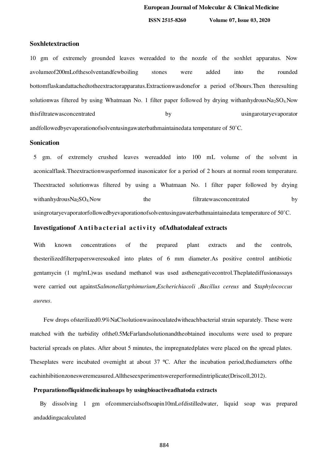**ISSN 2515-8260 Volume 07, Issue 03, 2020**

## **Soxhletextraction**

10 gm of extremely grounded leaves wereadded to the nozzle of the soxhlet apparatus. Now avolumeof200mLofthesolventandfewboiling stones were added into the rounded bottomflaskandattachedtotheextractorapparatus.Extractionwasdonefor a period of3hours.Then theresulting solutionwas filtered by using Whatmaan No. 1 filter paper followed by drying withanhydrousNa<sub>2</sub>SO<sub>4</sub>Now thisfiltratewasconcentrated by usingarotaryevaporator andfollowedbyevaporationofsolventusingawaterbathmaintainedata temperature of 50˚C.

## **Sonication**

5 gm. of extremely crushed leaves wereadded into 100 mL volume of the solvent in aconicalflask.Theextractionwasperformed inasonicator for a period of 2 hours at normal room temperature. Theextracted solutionwas filtered by using a Whatmaan No. 1 filter paper followed by drying withanhydrousNa<sub>2</sub>SO<sub>4</sub>Now the filtratewasconcentrated by usingrotaryevaporatorfollowedbyevaporationofsolventusingawaterbathmaintainedata temperature of 50˚C.

## Investigationof Antibacterial activity ofAdhatodaleaf extracts

With known concentrations of the prepared plant extracts and the controls, thesterilizedfilterpapersweresoaked into plates of 6 mm diameter.As positive control antibiotic gentamycin (1 mg/mL)was usedand methanol was used asthenegativecontrol.Theplatediffusionassays were carried out against*Salmonellatyphimurium*,*Escherichiacoli ,Bacillus cereus* and S*taphylococcus aureus*.

 Few drops ofsterilized0.9%NaClsolutionwasinoculatedwitheachbacterial strain separately. These were matched with the turbidity ofthe0.5McFarlandsolutionandtheobtained inoculums were used to prepare bacterial spreads on plates. After about 5 minutes, the impregnatedplates were placed on the spread plates. Theseplates were incubated overnight at about 37 °C. After the incubation period, the diameters of the eachinhibitionzonesweremeasured.Alltheseexperimentswereperformedintriplicate(Driscoll,2012).

## **Preparationofliquidmedicinalsoaps by usingbioactiveadhatoda extracts**

 By dissolving 1 gm ofcommercialsoftsoapin10mLofdistilledwater, liquid soap was prepared andaddingacalculated

884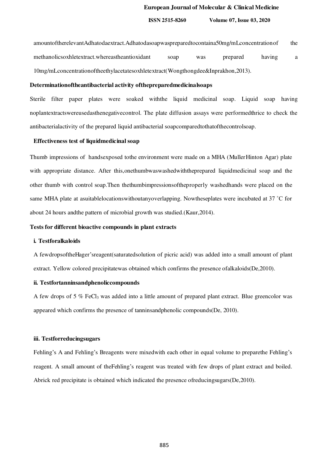amountoftherelevantAdhatodaextract.Adhatodasoapwaspreparedtocontaina50mg/mLconcentrationof the methanolicsoxhletextract.whereastheantioxidant soap was prepared having a 10mg/mLconcentrationoftheethylacetatesoxhletextract(Wongthongdee&Inprakhon,2013).

## **Determinationoftheantibacterial activity ofthepreparedmedicinalsoaps**

Sterile filter paper plates were soaked withthe liquid medicinal soap. Liquid soap having noplantextractswereusedasthenegativecontrol. The plate diffusion assays were performedthrice to check the antibacterialactivity of the prepared liquid antibacterial soapcomparedtothatofthecontrolsoap.

#### **Effectiveness test of liquidmedicinal soap**

Thumb impressions of handsexposed tothe environment were made on a MHA (MullerHinton Agar) plate with appropriate distance. After this,onethumbwaswashedwiththeprepared liquidmedicinal soap and the other thumb with control soap.Then thethumbimpressionsoftheproperly washedhands were placed on the same MHA plate at asuitablelocationswithoutanyoverlapping. Nowtheseplates were incubated at 37 ˚C for about 24 hours andthe pattern of microbial growth was studied.(Kaur,2014).

## **Tests for different bioactive compounds in plant extracts**

## **i. Testforalkaloids**

A fewdropsoftheHager'sreagent(saturatedsolution of picric acid) was added into a small amount of plant extract. Yellow colored precipitatewas obtained which confirms the presence ofalkaloids(De,2010).

#### **ii. Testfortanninsandphenoliccompounds**

A few drops of 5  $\%$  FeCl<sub>3</sub> was added into a little amount of prepared plant extract. Blue greencolor was appeared which confirms the presence of tanninsandphenolic compounds(De, 2010).

## **iii. Testforreducingsugars**

Fehling's A and Fehling's Breagents were mixedwith each other in equal volume to preparethe Fehling's reagent. A small amount of theFehling's reagent was treated with few drops of plant extract and boiled. Abrick red precipitate is obtained which indicated the presence ofreducingsugars(De,2010).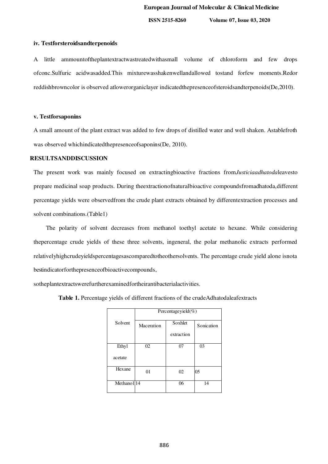**ISSN 2515-8260 Volume 07, Issue 03, 2020**

#### **iv. Testforsteroidsandterpenoids**

A little ammountoftheplantextractwastreatedwithasmall volume of chloroform and few drops ofconc.Sulfuric acidwasadded.This mixturewasshakenwellandallowed tostand forfew moments.Redor reddishbrowncolor is observed atlowerorganiclayer indicatedthepresenceofsteroidsandterpenoids(De,2010).

#### **v. Testforsaponins**

A small amount of the plant extract was added to few drops of distilled water and well shaken. Astablefroth was observed whichindicatedthepresenceofsaponins(De, 2010).

## **RESULTSANDDISCUSSION**

The present work was mainly focused on extractingbioactive fractions from*Justiciaadhatoda*leavesto prepare medicinal soap products. During theextractionofnaturalbioactive compoundsfromadhatoda,different percentage yields were observedfrom the crude plant extracts obtained by differentextraction processes and solvent combinations.(Table1)

 The polarity of solvent decreases from methanol toethyl acetate to hexane. While considering thepercentage crude yields of these three solvents, ingeneral, the polar methanolic extracts performed relativelyhighcrudeyieldspercentagesascomparedtotheothersolvents. The percentage crude yield alone isnota bestindicatorforthepresenceofbioactivecompounds,

sotheplantextractswerefurtherexaminedfortheirantibacterialactivities.

**Table 1.** Percentage yields of different fractions of the crudeAdhatodaleafextracts

|                        | Percentageyiel $\overline{d(\%)}$ |            |            |  |
|------------------------|-----------------------------------|------------|------------|--|
| Solvent                | Maceration                        | Soxhlet    | Sonication |  |
|                        |                                   | extraction |            |  |
| Ethyl                  | 02                                | 07         | 03         |  |
| acetate                |                                   |            |            |  |
| Hexane                 | 01                                | 02         | 05         |  |
| Methanol <sup>14</sup> |                                   | 06         | 14         |  |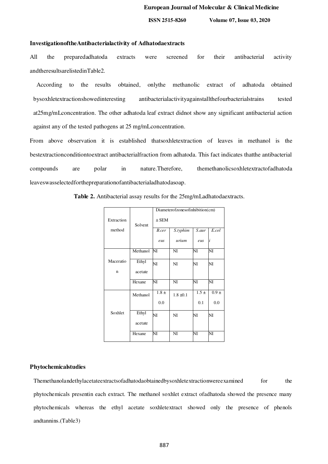#### **InvestigationoftheAntibacterialactivity of Adhatodaextracts**

All the preparedadhatoda extracts were screened for their antibacterial activity andtheresultsarelistedinTable2.

 According to the results obtained, onlythe methanolic extract of adhatoda obtained bysoxhletextractionshowedinteresting antibacterialactivityagainstallthefourbacterialstrains tested at25mg/mLconcentration. The other adhatoda leaf extract didnot show any significant antibacterial action against any of the tested pathogens at 25 mg/mLconcentration.

From above observation it is established thatsoxhletextraction of leaves in methanol is the bestextractionconditiontoextract antibacterialfraction from adhatoda. This fact indicates thatthe antibacterial compounds are polar in nature.Therefore, themethanolicsoxhletextractofadhatoda leaveswasselectedforthepreparationofantibacterialadhatodasoap.

**Table 2.** Antibacterial assay results for the 25mg/mLadhatodaextracts.

|            | Diameterofzonesofinhibition(cm) |           |                |           |           |  |
|------------|---------------------------------|-----------|----------------|-----------|-----------|--|
| Extraction | Solvent                         | $\pm$ SEM |                |           |           |  |
| method     |                                 | B.cer     | S.typhim       | S.aur     | E.col     |  |
|            |                                 | eus       | urium          | eus       | i         |  |
|            | Methanol                        | NI        | NI             | NI        | NI        |  |
| Maceratio  | Ethyl                           | NI        | N <sub>I</sub> | NI        | NI        |  |
| n          | acetate                         |           |                |           |           |  |
|            | Hexane                          | NI        | N <sub>I</sub> | NI        | NI        |  |
|            | Methanol                        | $1.8 \pm$ | $1.8 \pm 0.1$  | $1.5 \pm$ | $0.9 \pm$ |  |
|            |                                 | 0.0       |                | 0.1       | 0.0       |  |
| Soxhlet    | Ethyl                           | NI        | N <sub>I</sub> | NI        | NI        |  |
|            | acetate                         |           |                |           |           |  |
|            | Hexane                          | NI        | NI             | NI        | NI        |  |

#### **Phytochemicalstudies**

Themethanolandethylacetateextractsofadhatodaobtainedbysoxhletextractionwereexamined for the phytochemicals presentin each extract. The methanol soxhlet extract ofadhatoda showed the presence many phytochemicals whereas the ethyl acetate soxhletextract showed only the presence of phenols andtannins.(Table3)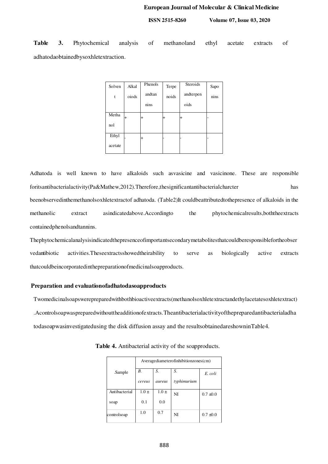**ISSN 2515-8260 Volume 07, Issue 03, 2020**

**Table 3.** Phytochemical analysis of methanoland ethyl acetate extracts of adhatodaobtainedbysoxhletextraction.

| Solven  | Alkal  | Phenols | Terpe | Steroids  | Sapo |
|---------|--------|---------|-------|-----------|------|
| t       | oiods  | andtan  | noids | andterpen | nins |
|         |        | nins    |       | oids      |      |
| Metha   | $^{+}$ |         |       | $\,{}^+$  | ۰    |
| nol     |        |         |       |           |      |
| Ethyl   |        |         |       |           |      |
| acetate |        |         |       |           |      |

Adhatoda is well known to have alkaloids such asvasicine and vasicinone. These are responsible foritsantibacterialactivity(Pa&Mathew,2012).Therefore,thesignificantantibacterialcharcter has beenobservedinthemethanolsoxhletextractof adhatoda. (Table2)It couldbeattributedtothepresence of alkaloids in the methanolic extract asindicatedabove.Accordingto the phytochemicalresults,boththeextracts containedphenolsandtannins.

Thephytochemicalanalysisindicatedthepresenceofimportantsecondarymetabolitesthatcouldberesponsiblefortheobser vedantibiotic activities.Theseextractsshowedtheirability to serve as biologically active extracts thatcouldbeincorporatedinthepreparationofmedicinalsoapproducts.

#### **Preparation and evaluationofadhatodasoapproducts**

Twomedicinalsoapswerepreparedwithbothbioactiveextracts(methanolsoxhletextractandethylacetatesoxhletextract) .Acontrolsoapwaspreparedwithouttheadditionofextracts.Theantibacterialactivityofthepreparedantibacterialadha todasoapwasinvestigatedusing the disk diffusion assay and the resultsobtainedareshowninTable4.

|               |           | Averagediameterofinhibitionzones(cm) |             |               |  |
|---------------|-----------|--------------------------------------|-------------|---------------|--|
| .Sample       | B.        | S.                                   | S.          | E. coli       |  |
|               | cereus    | aureus                               | typhimurium |               |  |
| Antibacterial | $1.0 \pm$ | $1.0 \pm$                            | NI          | $0.7 \pm 0.0$ |  |
| soap          | 0.1       | 0.0                                  |             |               |  |
| controlsoap   | 1.0       | 0.7                                  | NI          | $0.7 \pm 0.0$ |  |

**Table 4.** Antibacterial activity of the soapproducts.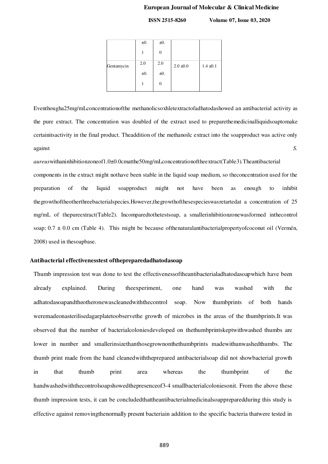**ISSN 2515-8260 Volume 07, Issue 03, 2020**

|            | $\pm 0$ . | $\pm 0$ . |               |               |
|------------|-----------|-----------|---------------|---------------|
|            |           |           |               |               |
| Gentamycin | 2.0       | 2.0       | $2.0 \pm 0.0$ | $1.4 \pm 0.1$ |
|            | ±0.       | ±0.       |               |               |
|            |           |           |               |               |
|            |           |           |               |               |

Eventhougha25mg/mLconcentrationofthe methanolicsoxhletextractofadhatodashowed an antibacterial activity as the pure extract. The concentration was doubled of the extract used to preparethemedicinalliquidsoaptomake certainitsactivity in the final product. Theaddition of the methanoilc extract into the soapproduct was active only against *S.* 

*aureus*withaninhibitionzoneof1.0±0.0cmatthe50mg/mLconcentrationoftheextract(Table3)*.*Theantibacterial components in the extract might nothave been stable in the liquid soap medium, so theconcentration used for the preparation of the liquid soapproduct might not have been as enough to inhibit thegrowthoftheotherthreebacterialspecies.However,thegrowthofthesespecieswasretartedat a concentration of 25 mg/mL of thepureextract(Table2). Incomparedtothetestsoap, a smallerinhibitionzonewasformed inthecontrol soap;  $0.7 \pm 0.0$  cm (Table 4). This might be because of the natural antibacterial property of coconut oil (Vermén, 2008) used in thesoapbase.

#### **Antibacterial effectivenesstest ofthepreparedadhatodasoap**

Thumb impression test was done to test the effectivenessoftheantibacterialadhatodasoapwhich have been already explained. During theexperiment, one hand was washed with the adhatodasoapandtheotheronewascleanedwiththecontrol soap. Now thumbprints of both hands weremadeonasterilisedagarplatetoobservethe growth of microbes in the areas of the thumbprints.It was observed that the number of bacterialcoloniesdeveloped on thethumbprintskeptwithwashed thumbs are lower in number and smallerinsizethanthosegrownonthethumbprints madewithunwashedthumbs. The thumb print made from the hand cleanedwiththeprepared antibacterialsoap did not showbacterial growth in that thumb print area whereas the thumbprint of the handwashedwiththecontrolsoapshowedthepresenceof3-4 smallbacterialcoloniesonit. From the above these thumb impression tests, it can be concludedthattheantibacterialmedicinalsoappreparedduring this study is effective against removingthenormally present bacteriain addition to the specific bacteria thatwere tested in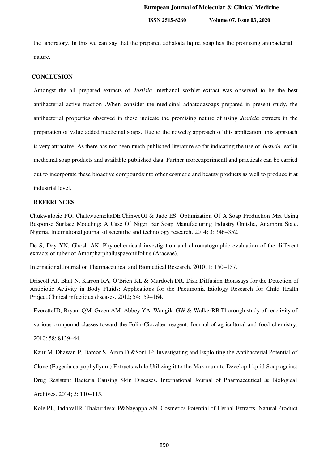the laboratory. In this we can say that the prepared adhatoda liquid soap has the promising antibacterial nature.

## **CONCLUSION**

Amongst the all prepared extracts of *Justisia*, methanol soxhlet extract was observed to be the best antibacterial active fraction .When consider the medicinal adhatodasoaps prepared in present study, the antibacterial properties observed in these indicate the promising nature of using *Justicia* extracts in the preparation of value added medicinal soaps. Due to the nowelty approach of this application, this approach is very attractive. As there has not been much published literature so far indicating the use of *Justicia* leaf in medicinal soap products and available published data. Further moreexperimentl and practicals can be carried out to incorporate these bioactive compoundsinto other cosmetic and beauty products as well to produce it at industrial level.

## **REFERENCES**

Chukwulozie PO, ChukwuemekaDE,ChinweOI & Jude ES. Optimization Of A Soap Production Mix Using Response Surface Modeling: A Case Of Niger Bar Soap Manufacturing Industry Onitsha, Anambra State, Nigeria. International journal of scientific and technology research. 2014; 3: 346–352.

De S, Dey YN, Ghosh AK. Phytochemicaal investigation and chromatographic evaluation of the different extracts of tuber of Amorpharphalluspaeoniifolius (Araceae).

International Journal on Pharmaceutical and Biomedical Research. 2010; 1: 150–157.

Driscoll AJ, Bhat N, Karron RA, O'Brien KL & Murdoch DR. Disk Diffusion Bioassays for the Detection of Antibiotic Activity in Body Fluids: Applications for the Pneumonia Etiology Research for Child Health Project.Clinical infectious diseases. 2012; 54:159–164.

EveretteJD, Bryant QM, Green AM, Abbey YA, Wangila GW & WalkerRB.Thorough study of reactivity of

various compound classes toward the Folin-Ciocalteu reagent. Journal of agricultural and food chemistry.

2010; 58: 8139–44.

Kaur M, Dhawan P, Damor S, Arora D &Soni IP. Investigating and Exploiting the Antibacterial Potential of

Clove (Eugenia caryophyllyum) Extracts while Utilizing it to the Maximum to Develop Liquid Soap against

Drug Resistant Bacteria Causing Skin Diseases. International Journal of Pharmaceutical & Biological

Archives. 2014; 5: 110–115.

Kole PL, JadhavHR, Thakurdesai P&Nagappa AN. Cosmetics Potential of Herbal Extracts. Natural Product